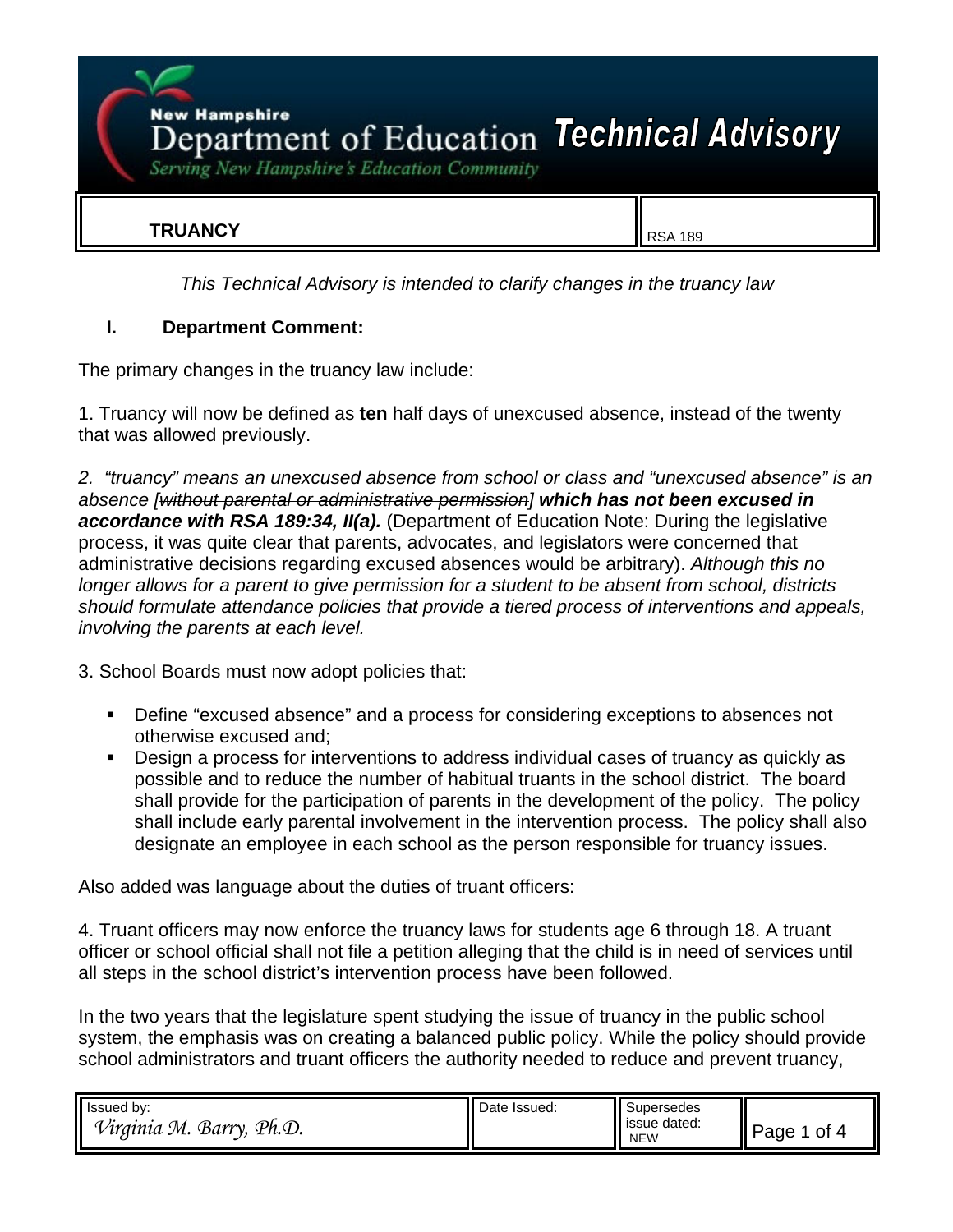**New Hampshire EX Hampshire** of Education Technical Advisory

Serving New Hampshire's Education Community

### **TRUANCY** RSA 189

*This Technical Advisory is intended to clarify changes in the truancy law*

#### **I. Department Comment:**

The primary changes in the truancy law include:

1. Truancy will now be defined as **ten** half days of unexcused absence, instead of the twenty that was allowed previously.

*2. "truancy" means an unexcused absence from school or class and "unexcused absence" is an absence [without parental or administrative permission] which has not been excused in accordance with RSA 189:34, II(a).* (Department of Education Note: During the legislative process, it was quite clear that parents, advocates, and legislators were concerned that administrative decisions regarding excused absences would be arbitrary). *Although this no longer allows for a parent to give permission for a student to be absent from school, districts should formulate attendance policies that provide a tiered process of interventions and appeals, involving the parents at each level.*

- 3. School Boards must now adopt policies that:
	- Define "excused absence" and a process for considering exceptions to absences not otherwise excused and;
	- Design a process for interventions to address individual cases of truancy as quickly as possible and to reduce the number of habitual truants in the school district. The board shall provide for the participation of parents in the development of the policy. The policy shall include early parental involvement in the intervention process. The policy shall also designate an employee in each school as the person responsible for truancy issues.

Also added was language about the duties of truant officers:

4. Truant officers may now enforce the truancy laws for students age 6 through 18. A truant officer or school official shall not file a petition alleging that the child is in need of services until all steps in the school district's intervention process have been followed.

In the two years that the legislature spent studying the issue of truancy in the public school system, the emphasis was on creating a balanced public policy. While the policy should provide school administrators and truant officers the authority needed to reduce and prevent truancy,

| Issued by:                             | Date Issued: | Supersedes                 |                        |
|----------------------------------------|--------------|----------------------------|------------------------|
| ⇁<br>Barry,<br>Ph.D.<br>М.<br>′≀raınıa |              | issue dated:<br><b>NEW</b> | 0t<br>Page<br>$\Delta$ |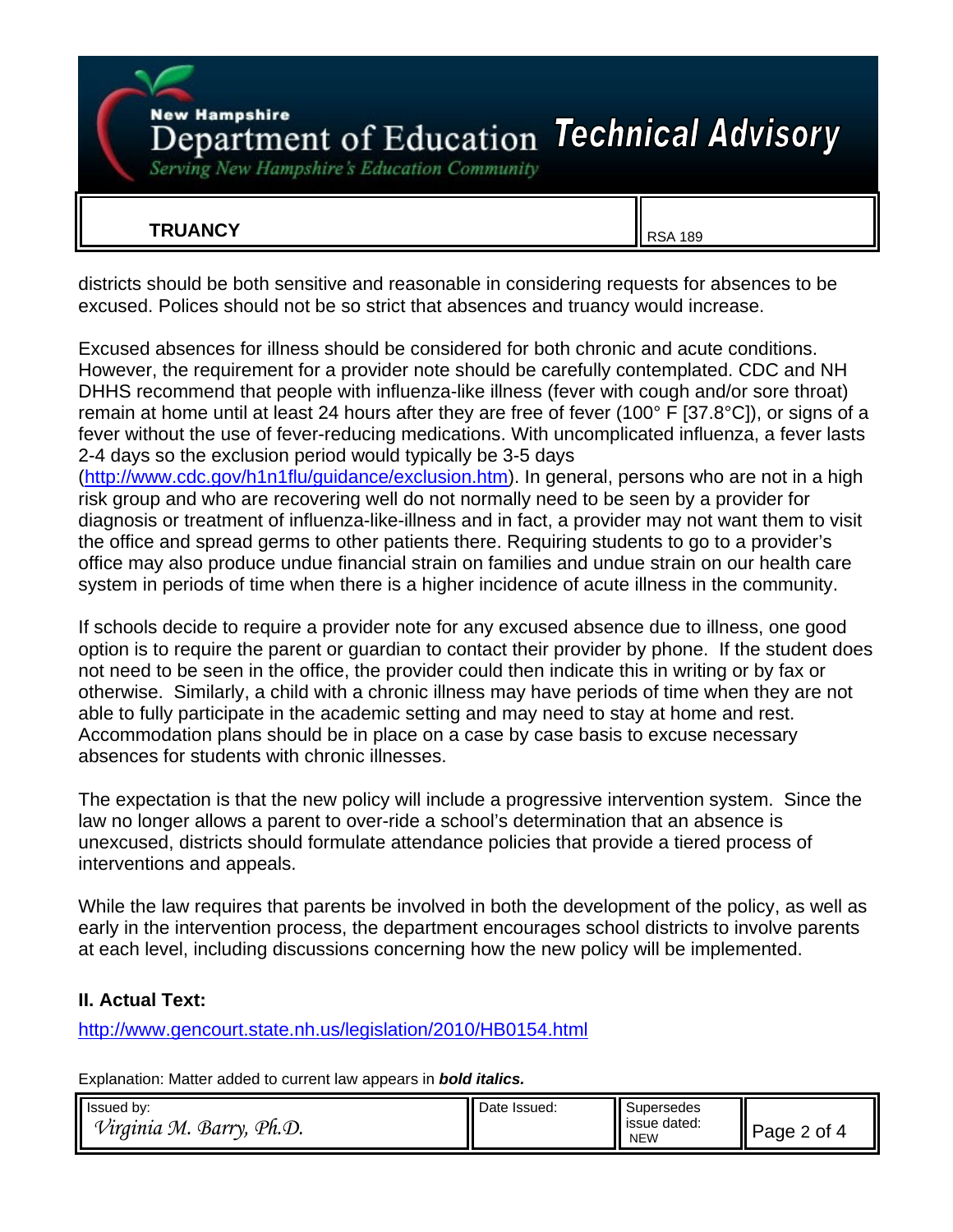## **New Hampshire** Department of Education Technical Advisory

Serving New Hampshire's Education Community

## **TRUANCY** RSA 189

districts should be both sensitive and reasonable in considering requests for absences to be excused. Polices should not be so strict that absences and truancy would increase.

Excused absences for illness should be considered for both chronic and acute conditions. However, the requirement for a provider note should be carefully contemplated. CDC and NH DHHS recommend that people with influenza-like illness (fever with cough and/or sore throat) remain at home until at least 24 hours after they are free of fever (100° F [37.8°C]), or signs of a fever without the use of fever-reducing medications. With uncomplicated influenza, a fever lasts 2-4 days so the exclusion period would typically be 3-5 days

(http://www.cdc.gov/h1n1flu/guidance/exclusion.htm). In general, persons who are not in a high risk group and who are recovering well do not normally need to be seen by a provider for diagnosis or treatment of influenza-like-illness and in fact, a provider may not want them to visit the office and spread germs to other patients there. Requiring students to go to a provider's office may also produce undue financial strain on families and undue strain on our health care system in periods of time when there is a higher incidence of acute illness in the community.

If schools decide to require a provider note for any excused absence due to illness, one good option is to require the parent or guardian to contact their provider by phone. If the student does not need to be seen in the office, the provider could then indicate this in writing or by fax or otherwise. Similarly, a child with a chronic illness may have periods of time when they are not able to fully participate in the academic setting and may need to stay at home and rest. Accommodation plans should be in place on a case by case basis to excuse necessary absences for students with chronic illnesses.

The expectation is that the new policy will include a progressive intervention system. Since the law no longer allows a parent to over-ride a school's determination that an absence is unexcused, districts should formulate attendance policies that provide a tiered process of interventions and appeals.

While the law requires that parents be involved in both the development of the policy, as well as early in the intervention process, the department encourages school districts to involve parents at each level, including discussions concerning how the new policy will be implemented.

#### **II. Actual Text:**

http://www.gencourt.state.nh.us/legislation/2010/HB0154.html

Explanation: Matter added to current law appears in *bold italics.*

| Issued by:                      | Date Issued: | Supersedes                 |                  |
|---------------------------------|--------------|----------------------------|------------------|
| Ph.D.<br>Barry,<br>'Virginia M. |              | issue dated:<br><b>NEW</b> | II<br>0t<br>Page |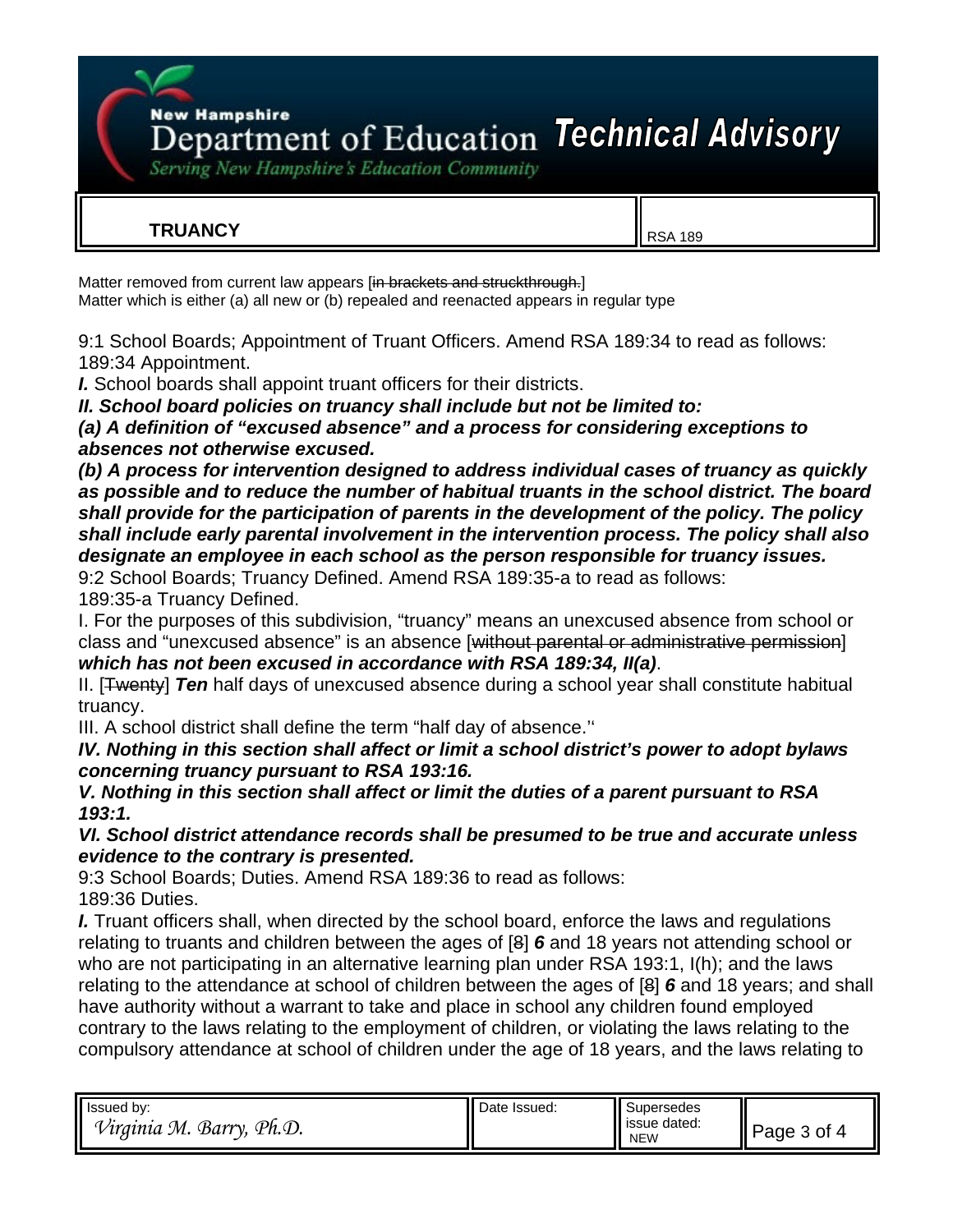**New Hampshire** 

# Department of Education Technical Advisory

Serving New Hampshire's Education Community

## **TRUANCY** RSA 189

Matter removed from current law appears [in brackets and struckthrough.] Matter which is either (a) all new or (b) repealed and reenacted appears in regular type

9:1 School Boards; Appointment of Truant Officers. Amend RSA 189:34 to read as follows: 189:34 Appointment.

*I.* School boards shall appoint truant officers for their districts.

*II. School board policies on truancy shall include but not be limited to:*

*(a) A definition of "excused absence" and a process for considering exceptions to absences not otherwise excused.*

*(b) A process for intervention designed to address individual cases of truancy as quickly as possible and to reduce the number of habitual truants in the school district. The board shall provide for the participation of parents in the development of the policy. The policy shall include early parental involvement in the intervention process. The policy shall also designate an employee in each school as the person responsible for truancy issues.*

9:2 School Boards; Truancy Defined. Amend RSA 189:35-a to read as follows: 189:35-a Truancy Defined.

I. For the purposes of this subdivision, "truancy" means an unexcused absence from school or class and "unexcused absence" is an absence [without parental or administrative permission] *which has not been excused in accordance with RSA 189:34, II(a)*.

II. [Twenty] *Ten* half days of unexcused absence during a school year shall constitute habitual truancy.

III. A school district shall define the term "half day of absence.''

*IV. Nothing in this section shall affect or limit a school district's power to adopt bylaws concerning truancy pursuant to RSA 193:16.* 

*V. Nothing in this section shall affect or limit the duties of a parent pursuant to RSA 193:1.* 

*VI. School district attendance records shall be presumed to be true and accurate unless evidence to the contrary is presented.* 

9:3 School Boards; Duties. Amend RSA 189:36 to read as follows: 189:36 Duties.

*I.* Truant officers shall, when directed by the school board, enforce the laws and regulations relating to truants and children between the ages of [8] *6* and 18 years not attending school or who are not participating in an alternative learning plan under RSA 193:1, I(h); and the laws relating to the attendance at school of children between the ages of [8] *6* and 18 years; and shall have authority without a warrant to take and place in school any children found employed contrary to the laws relating to the employment of children, or violating the laws relating to the compulsory attendance at school of children under the age of 18 years, and the laws relating to

| Issued by:                           | Date Issued: | Supersedes                    |              |
|--------------------------------------|--------------|-------------------------------|--------------|
| ⇁<br>Barry,<br>Ph.D.<br>М.<br>rama / |              | dated:<br>issue<br><b>NEW</b> | Page<br>, ot |